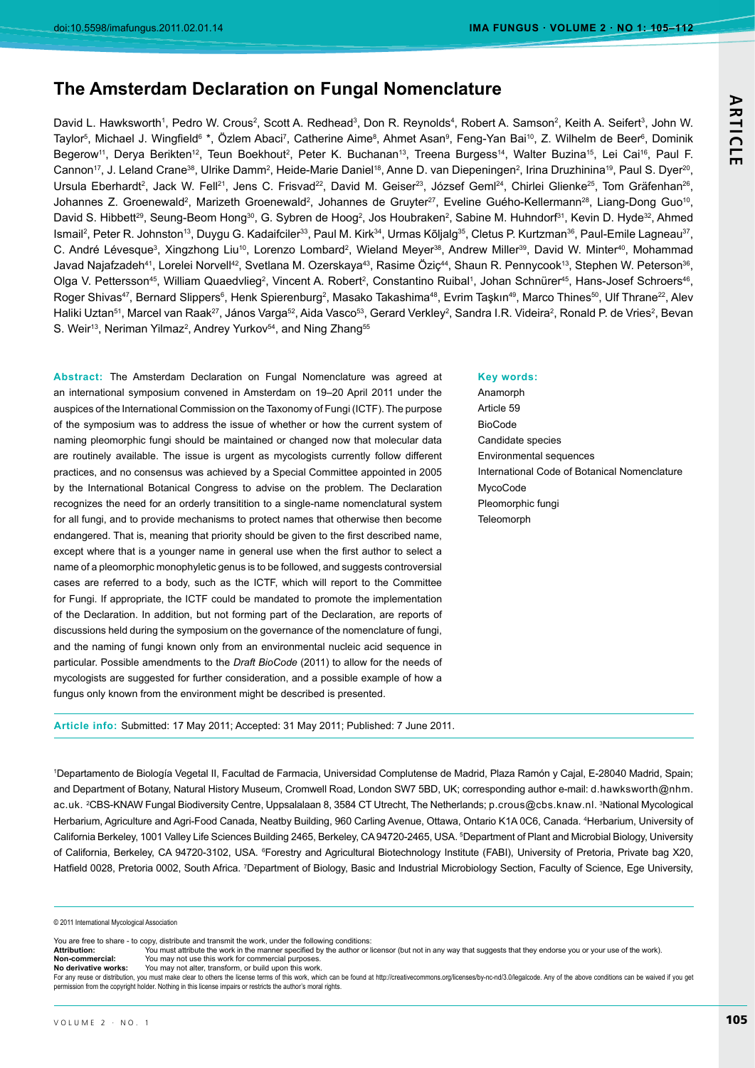# **The Amsterdam Declaration on Fungal Nomenclature**

David L. Hawksworth1, Pedro W. Crous<sup>2</sup>, Scott A. Redhead<sup>3</sup>, Don R. Reynolds<sup>4</sup>, Robert A. Samson<sup>2</sup>, Keith A. Seifert<sup>3</sup>, John W. Taylor<sup>s</sup>, Michael J. Wingfield<sup>6</sup> \*, Özlem Abaci<sup>7</sup>, Catherine Aime<sup>s</sup>, Ahmet Asan<sup>9</sup>, Feng-Yan Bai<sup>10</sup>, Z. Wilhelm de Beer<sup>s</sup>, Dominik Begerow<sup>11</sup>, Derya Berikten<sup>12</sup>, Teun Boekhout<sup>2</sup>, Peter K. Buchanan<sup>13</sup>, Treena Burgess<sup>14</sup>, Walter Buzina<sup>15</sup>, Lei Cai<sup>16</sup>, Paul F. Cannon<sup>17</sup>, J. Leland Crane<sup>38</sup>, Ulrike Damm<sup>2</sup>, Heide-Marie Daniel<sup>18</sup>, Anne D. van Diepeningen<sup>2</sup>, Irina Druzhinina<sup>19</sup>, Paul S. Dyer<sup>20</sup>, Ursula Eberhardt<sup>2</sup>, Jack W. Fell<sup>21</sup>, Jens C. Frisvad<sup>22</sup>, David M. Geiser<sup>23</sup>, József Geml<sup>24</sup>, Chirlei Glienke<sup>25</sup>, Tom Gräfenhan<sup>26</sup>, Johannes Z. Groenewald<sup>2</sup>, Marizeth Groenewald<sup>2</sup>, Johannes de Gruyter<sup>27</sup>, Eveline Guého-Kellermann<sup>28</sup>, Liang-Dong Guo<sup>10</sup>, David S. Hibbett<sup>29</sup>, Seung-Beom Hong<sup>30</sup>, G. Sybren de Hoog<sup>2</sup>, Jos Houbraken<sup>2</sup>, Sabine M. Huhndorf<sup>31</sup>, Kevin D. Hyde<sup>32</sup>, Ahmed Ismail<sup>2</sup>, Peter R. Johnston<sup>13</sup>, Duygu G. Kadaifciler<sup>33</sup>, Paul M. Kirk<sup>34</sup>, Urmas Kõljalg<sup>35</sup>, Cletus P. Kurtzman<sup>36</sup>, Paul-Emile Lagneau<sup>37</sup>, C. André Lévesque<sup>3</sup>, Xingzhong Liu<sup>10</sup>, Lorenzo Lombard<sup>2</sup>, Wieland Meyer<sup>38</sup>, Andrew Miller<sup>39</sup>, David W. Minter<sup>40</sup>, Mohammad Javad Najafzadeh<sup>41</sup>, Lorelei Norvell<sup>42</sup>, Svetlana M. Ozerskaya<sup>43</sup>, Rasime Öziç<sup>44</sup>, Shaun R. Pennycook<sup>13</sup>, Stephen W. Peterson<sup>36</sup>, Olga V. Pettersson<sup>45</sup>, William Quaedvlieg<sup>2</sup>, Vincent A. Robert<sup>2</sup>, Constantino Ruibal<sup>1</sup>, Johan Schnürer<sup>45</sup>, Hans-Josef Schroers<sup>46</sup>, Roger Shivas<sup>47</sup>, Bernard Slippers<sup>6</sup>, Henk Spierenburg<sup>2</sup>, Masako Takashima<sup>48</sup>, Evrim Taşkın<sup>49</sup>, Marco Thines<sup>50</sup>, Ulf Thrane<sup>22</sup>, Alev Haliki Uztan<sup>51</sup>, Marcel van Raak<sup>27</sup>, János Varga<sup>s2</sup>, Aida Vasco<sup>53</sup>, Gerard Verkley<sup>2</sup>, Sandra I.R. Videira<sup>2</sup>, Ronald P. de Vries<sup>2</sup>, Bevan S. Weir<sup>13</sup>, Neriman Yilmaz<sup>2</sup>, Andrey Yurkov<sup>54</sup>, and Ning Zhang<sup>55</sup>

Abstract: The Amsterdam Declaration on Fungal Nomenclature was agreed at an international symposium convened in Amsterdam on 19-20 April 2011 under the auspices of the International Commission on the Taxonomy of Fungi (ICTF). The purpose of the symposium was to address the issue of whether or how the current system of naming pleomorphic fungi should be maintained or changed now that molecular data are routinely available. The issue is urgent as mycologists currently follow different practices, and no consensus was achieved by a Special Committee appointed in 2005 by the International Botanical Congress to advise on the problem. The Declaration recognizes the need for an orderly transitition to a single-name nomenclatural system for all fungi, and to provide mechanisms to protect names that otherwise then become endangered. That is, meaning that priority should be given to the first described name, except where that is a younger name in general use when the first author to select a name of a pleomorphic monophyletic genus is to be followed, and suggests controversial cases are referred to a body, such as the ICTF, which will report to the Committee for Fungi. If appropriate, the ICTF could be mandated to promote the implementation of the Declaration. In addition, but not forming part of the Declaration, are reports of discussions held during the symposium on the governance of the nomenclature of fungi, and the naming of fungi known only from an environmental nucleic acid sequence in particular. Possible amendments to the *Draft BioCode* (2011) to allow for the needs of mycologists are suggested for further consideration, and a possible example of how a fungus only known from the environment might be described is presented.

#### **Key words:**

Anamorph Article 59 BioCode Candidate species Environmental sequences International Code of Botanical Nomenclature MycoCode Pleomorphic fungi **Teleomorph** 

Article info: Submitted: 17 May 2011; Accepted: 31 May 2011; Published: 7 June 2011.

1Departamento de Biología Vegetal II, Facultad de Farmacia, Universidad Complutense de Madrid, Plaza Ramón y Cajal, E-28040 Madrid, Spain; and Department of Botany, Natural History Museum, Cromwell Road, London SW7 5BD, UK; corresponding author e-mail: d.hawksworth@nhm. ac.uk. <sup>2</sup>CBS-KNAW Fungal Biodiversity Centre, Uppsalalaan 8, 3584 CT Utrecht, The Netherlands; p.crous@cbs.knaw.nl. <sup>3</sup>National Mycological Herbarium, Agriculture and Agri-Food Canada, Neatby Building, 960 Carling Avenue, Ottawa, Ontario K1A 0C6, Canada. <sup>4</sup>Herbarium, University of California Berkeley, 1001 Valley Life Sciences Building 2465, Berkeley, CA 94720-2465, USA. <sup>5</sup>Department of Plant and Microbial Biology, University of California, Berkeley, CA 94720-3102, USA. <sup>6</sup>Forestry and Agricultural Biotechnology Institute (FABI), University of Pretoria, Private bag X20, Hatfield 0028, Pretoria 0002, South Africa. <sup>7</sup>Department of Biology, Basic and Industrial Microbiology Section, Faculty of Science, Ege University,

© 2011 International Mycological Association

You are free to share - to copy, distribute and transmit the work, under the following conditions<br>Attribution: You must attribute the work in the manner specified by the author or

You must attribute the work in the manner specified by the author or licensor (but not in any way that suggests that they endorse you or your use of the work). **Non-commercial:** You may not use this work for commercial purposes<br>**No derivative works:** You may not alter, transform, or build upon this work You may not alter, transform, or build upon this work

For any reuse or distribution, you must make clear to others the license terms of this work, which can be found at http://creativecommons.org/licenses/by-nc-nd/3.0/legalcode. Any of the above conditions can be waived if yo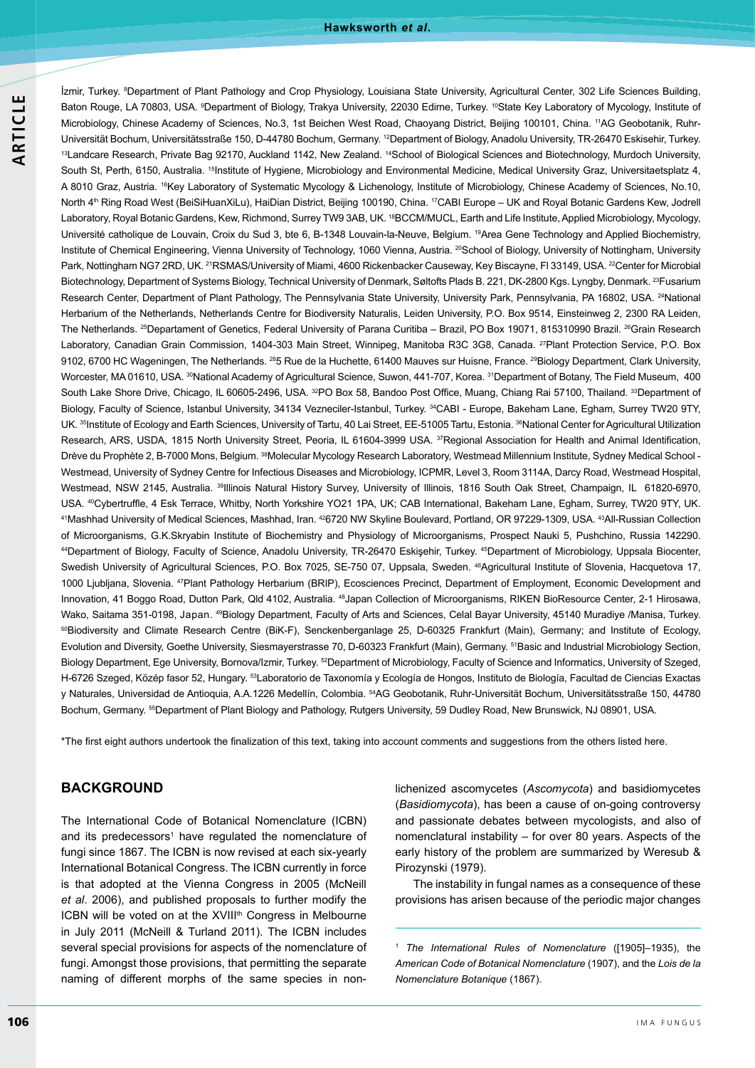#### **Hawksworth** *et al***.**

Izmir, Turkey. <sup>8</sup>Department of Plant Pathology and Crop Physiology, Louisiana State University, Agricultural Center, 302 Life Sciences Building, Baton Rouge, LA 70803, USA. <sup>9</sup>Department of Biology, Trakya University, 22030 Edirne, Turkey. <sup>10</sup>State Key Laboratory of Mycology, Institute of Microbiology, Chinese Academy of Sciences, No.3, 1st Beichen West Road, Chaoyang District, Beijing 100101, China. <sup>11</sup>AG Geobotanik, Ruhr-Universität Bochum, Universitätsstraße 150, D-44780 Bochum, Germany. <sup>12</sup>Department of Biology, Anadolu University, TR-26470 Eskisehir, Turkey. 13Landcare Research, Private Bag 92170, Auckland 1142, New Zealand. <sup>14</sup>School of Biological Sciences and Biotechnology, Murdoch University, South St, Perth, 6150, Australia. <sup>15</sup>Institute of Hygiene, Microbiology and Environmental Medicine, Medical University Graz, Universitaetsplatz 4, A 8010 Graz, Austria. <sup>16</sup>Key Laboratory of Systematic Mycology & Lichenology, Institute of Microbiology, Chinese Academy of Sciences, No.10, North 4<sup>th</sup> Ring Road West (BeiSiHuanXiLu), HaiDian District, Beijing 100190, China. <sup>17</sup>CABI Europe - UK and Royal Botanic Gardens Kew, Jodrell Laboratory, Royal Botanic Gardens, Kew, Richmond, Surrey TW9 3AB, UK.<sup>18</sup>BCCM/MUCL, Earth and Life Institute, Applied Microbiology, Mycology, Université catholique de Louvain, Croix du Sud 3, bte 6, B-1348 Louvain-la-Neuve, Belgium. <sup>19</sup>Area Gene Technology and Applied Biochemistry, Institute of Chemical Engineering, Vienna University of Technology, 1060 Vienna, Austria. <sup>20</sup>School of Biology, University of Nottingham, University Park, Nottingham NG7 2RD, UK. <sup>21</sup>RSMAS/University of Miami, 4600 Rickenbacker Causeway, Key Biscayne, FI 33149, USA. <sup>22</sup>Center for Microbial Biotechnology, Department of Systems Biology, Technical University of Denmark, Søltofts Plads B. 221, DK-2800 Kgs. Lyngby, Denmark. <sup>23</sup>Fusarium Research Center, Department of Plant Pathology, The Pennsylvania State University, University Park, Pennsylvania, PA 16802, USA. <sup>24</sup>National Herbarium of the Netherlands, Netherlands Centre for Biodiversity Naturalis, Leiden University, P.O. Box 9514, Einsteinweg 2, 2300 RA Leiden, The Netherlands. <sup>25</sup>Departament of Genetics, Federal University of Parana Curitiba - Brazil, PO Box 19071, 815310990 Brazil. <sup>26</sup>Grain Research Laboratory, Canadian Grain Commission, 1404-303 Main Street, Winnipeg, Manitoba R3C 3G8, Canada. <sup>27</sup>Plant Protection Service, P.O. Box 9102, 6700 HC Wageningen, The Netherlands. <sup>28</sup>5 Rue de la Huchette, 61400 Mauves sur Huisne, France. <sup>29</sup>Biology Department, Clark University, Worcester, MA 01610, USA. <sup>30</sup>National Academy of Agricultural Science, Suwon, 441-707, Korea. <sup>31</sup>Department of Botany, The Field Museum, 400 South Lake Shore Drive, Chicago, IL 60605-2496, USA. 32PO Box 58, Bandoo Post Office, Muang, Chiang Rai 57100, Thailand. 33Department of Biology, Faculty of Science, Istanbul University, 34134 Vezneciler-Istanbul, Turkey. <sup>34</sup>CABI - Europe, Bakeham Lane, Egham, Surrey TW20 9TY, UK. <sup>35</sup>Institute of Ecology and Earth Sciences, University of Tartu, 40 Lai Street, EE-51005 Tartu, Estonia. <sup>36</sup>National Center for Agricultural Utilization Research, ARS, USDA, 1815 North University Street, Peoria, IL 61604-3999 USA. <sup>37</sup>Regional Association for Health and Animal Identification, Drève du Prophète 2, B-7000 Mons, Belgium. <sup>38</sup>Molecular Mycology Research Laboratory, Westmead Millennium Institute, Sydney Medical School -Westmead, University of Sydney Centre for Infectious Diseases and Microbiology, ICPMR, Level 3, Room 3114A, Darcy Road, Westmead Hospital, Westmead, NSW 2145, Australia. <sup>39</sup>lllinois Natural History Survey, University of Illinois, 1816 South Oak Street, Champaign, IL 61820-6970, USA. <sup>40</sup>Cybertruffle, 4 Esk Terrace, Whitby, North Yorkshire YO21 1PA, UK; CAB International, Bakeham Lane, Egham, Surrey, TW20 9TY, UK. 41Mashhad University of Medical Sciences, Mashhad, Iran. 426720 NW Skyline Boulevard, Portland, OR 97229-1309, USA. 43All-Russian Collection of Microorganisms, G.K.Skryabin Institute of Biochemistry and Physiology of Microorganisms, Prospect Nauki 5, Pushchino, Russia 142290. <sup>44</sup>Department of Biology, Faculty of Science, Anadolu University, TR-26470 Eskişehir, Turkey. <sup>45</sup>Department of Microbiology, Uppsala Biocenter, Swedish University of Agricultural Sciences, P.O. Box 7025, SE-750 07, Uppsala, Sweden. <sup>46</sup>Agricultural Institute of Slovenia, Hacquetova 17, 1000 Ljubljana, Slovenia. <sup>47</sup>Plant Pathology Herbarium (BRIP), Ecosciences Precinct, Department of Employment, Economic Development and Innovation, 41 Boggo Road, Dutton Park, Qld 4102, Australia. <sup>48</sup>Japan Collection of Microorganisms, RIKEN BioResource Center, 2-1 Hirosawa, Wako, Saitama 351-0198, Japan. <sup>49</sup>Biology Department, Faculty of Arts and Sciences, Celal Bayar University, 45140 Muradiye /Manisa, Turkey. 50Biodiversity and Climate Research Centre (BiK-F), Senckenberganlage 25, D-60325 Frankfurt (Main), Germany; and Institute of Ecology, Evolution and Diversity, Goethe University, Siesmayerstrasse 70, D-60323 Frankfurt (Main), Germany. <sup>51</sup>Basic and Industrial Microbiology Section, Biology Department, Ege University, Bornova/Izmir, Turkey.<sup>52</sup>Department of Microbiology, Faculty of Science and Informatics, University of Szeged, H-6726 Szeged, Közép fasor 52, Hungary. 53Laboratorio de Taxonomía y Ecología de Hongos, Instituto de Biología, Facultad de Ciencias Exactas y Naturales, Universidad de Antioquia, A.A.1226 Medellín, Colombia. 54AG Geobotanik, Ruhr-Universität Bochum, Universitätsstraße 150, 44780 Bochum, Germany. <sup>55</sup>Department of Plant Biology and Pathology, Rutgers University, 59 Dudley Road, New Brunswick, NJ 08901, USA.

\*The first eight authors undertook the finalization of this text, taking into account comments and suggestions from the others listed here.

## **BACKGROUND**

The International Code of Botanical Nomenclature (ICBN) and its predecessors<sup>1</sup> have regulated the nomenclature of fungi since 1867. The ICBN is now revised at each six-yearly International Botanical Congress. The ICBN currently in force is that adopted at the Vienna Congress in 2005 (McNeill et al. 2006), and published proposals to further modify the ICBN will be voted on at the XVIII<sup>th</sup> Congress in Melbourne in July 2011 (McNeill & Turland 2011). The ICBN includes several special provisions for aspects of the nomenclature of fungi. Amongst those provisions, that permitting the separate naming of different morphs of the same species in nonlichenized ascomycetes (Ascomycota) and basidiomycetes *(Basidiomycota)*, has been a cause of on-going controversy and passionate debates between mycologists, and also of nomenclatural instability  $-$  for over 80 years. Aspects of the early history of the problem are summarized by Weresub & Pirozynski (1979).

The instability in fungal names as a consequence of these provisions has arisen because of the periodic major changes

<sup>1</sup> The International Rules of Nomenclature ([1905]-1935), the American Code of Botanical Nomenclature (1907), and the Lois de la *Nomenclature Botanique*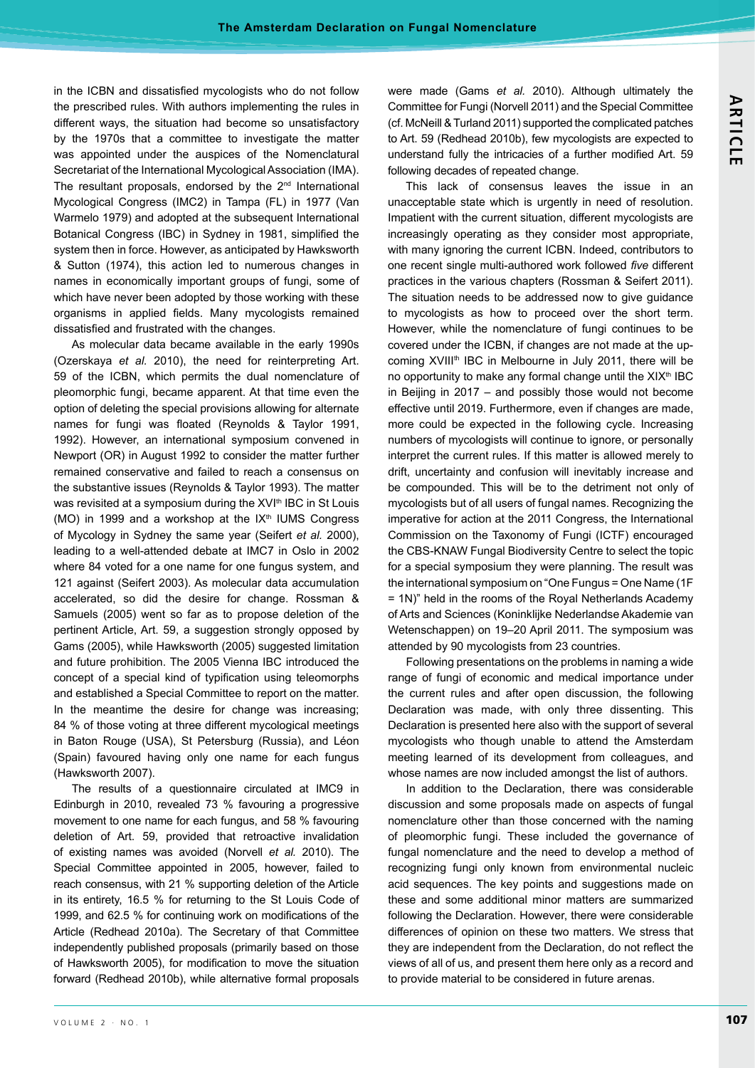in the ICBN and dissatisfied mycologists who do not follow the prescribed rules. With authors implementing the rules in different ways, the situation had become so unsatisfactory by the 1970s that a committee to investigate the matter was appointed under the auspices of the Nomenclatural Secretariat of the International Mycological Association (IMA). The resultant proposals, endorsed by the  $2<sup>nd</sup>$  International Mycological Congress (IMC2) in Tampa (FL) in 1977 (Van Warmelo 1979) and adopted at the subsequent International Botanical Congress (IBC) in Sydney in 1981, simplified the system then in force. However, as anticipated by Hawksworth & Sutton (1974), this action led to numerous changes in names in economically important groups of fungi, some of which have never been adopted by those working with these organisms in applied fields. Many mycologists remained dissatisfied and frustrated with the changes.

As molecular data became available in the early 1990s (Ozerskaya et al. 2010), the need for reinterpreting Art. 59 of the ICBN, which permits the dual nomenclature of pleomorphic fungi, became apparent. At that time even the option of deleting the special provisions allowing for alternate names for fungi was floated (Reynolds & Taylor 1991, 1992). However, an international symposium convened in Newport (OR) in August 1992 to consider the matter further remained conservative and failed to reach a consensus on the substantive issues (Reynolds & Taylor 1993). The matter was revisited at a symposium during the XVI<sup>th</sup> IBC in St Louis (MO) in 1999 and a workshop at the  $IX<sup>th</sup>$  IUMS Congress of Mycology in Sydney the same year (Seifert et al. 2000), leading to a well-attended debate at IMC7 in Oslo in 2002 where 84 voted for a one name for one fungus system, and 121 against (Seifert 2003). As molecular data accumulation accelerated, so did the desire for change. Rossman & Samuels (2005) went so far as to propose deletion of the pertinent Article, Art. 59, a suggestion strongly opposed by Gams (2005), while Hawksworth (2005) suggested limitation and future prohibition. The 2005 Vienna IBC introduced the concept of a special kind of typification using teleomorphs and established a Special Committee to report on the matter. In the meantime the desire for change was increasing; 84 % of those voting at three different mycological meetings in Baton Rouge (USA), St Petersburg (Russia), and Léon (Spain) favoured having only one name for each fungus (Hawksworth 2007).

The results of a questionnaire circulated at IMC9 in Edinburgh in 2010, revealed 73 % favouring a progressive movement to one name for each fungus, and 58 % favouring deletion of Art. 59, provided that retroactive invalidation of existing names was avoided (Norvell et al. 2010). The Special Committee appointed in 2005, however, failed to reach consensus, with 21 % supporting deletion of the Article in its entirety, 16.5 % for returning to the St Louis Code of 1999, and 62.5 % for continuing work on modifications of the Article (Redhead 2010a). The Secretary of that Committee independently published proposals (primarily based on those of Hawksworth 2005), for modification to move the situation forward (Redhead 2010b), while alternative formal proposals

were made (Gams et al. 2010). Although ultimately the Committee for Fungi (Norvell 2011) and the Special Committee (cf. McNeill & Turland 2011) supported the complicated patches to Art. 59 (Redhead 2010b), few mycologists are expected to understand fully the intricacies of a further modified Art. 59 following decades of repeated change.

This lack of consensus leaves the issue in an unacceptable state which is urgently in need of resolution. Impatient with the current situation, different mycologists are increasingly operating as they consider most appropriate, with many ignoring the current ICBN. Indeed, contributors to one recent single multi-authored work followed *five* different practices in the various chapters (Rossman & Seifert 2011). The situation needs to be addressed now to give guidance to mycologists as how to proceed over the short term. However, while the nomenclature of fungi continues to be covered under the ICBN, if changes are not made at the upcoming XVIII<sup>th</sup> IBC in Melbourne in July 2011, there will be no opportunity to make any formal change until the XIX<sup>th</sup> IBC in Beijing in  $2017$  – and possibly those would not become effective until 2019. Furthermore, even if changes are made, more could be expected in the following cycle. Increasing numbers of mycologists will continue to ignore, or personally interpret the current rules. If this matter is allowed merely to drift, uncertainty and confusion will inevitably increase and be compounded. This will be to the detriment not only of mycologists but of all users of fungal names. Recognizing the imperative for action at the 2011 Congress, the International Commission on the Taxonomy of Fungi (ICTF) encouraged the CBS-KNAW Fungal Biodiversity Centre to select the topic for a special symposium they were planning. The result was the international symposium on "One Fungus = One Name (1F)  $=$  1N)" held in the rooms of the Royal Netherlands Academy of Arts and Sciences (Koninklijke Nederlandse Akademie van Wetenschappen) on 19-20 April 2011. The symposium was attended by 90 mycologists from 23 countries.

Following presentations on the problems in naming a wide range of fungi of economic and medical importance under the current rules and after open discussion, the following Declaration was made, with only three dissenting. This Declaration is presented here also with the support of several mycologists who though unable to attend the Amsterdam meeting learned of its development from colleagues, and whose names are now included amongst the list of authors.

In addition to the Declaration, there was considerable discussion and some proposals made on aspects of fungal nomenclature other than those concerned with the naming of pleomorphic fungi. These included the governance of fungal nomenclature and the need to develop a method of recognizing fungi only known from environmental nucleic acid sequences. The key points and suggestions made on these and some additional minor matters are summarized following the Declaration. However, there were considerable differences of opinion on these two matters. We stress that they are independent from the Declaration, do not reflect the views of all of us, and present them here only as a record and to provide material to be considered in future arenas.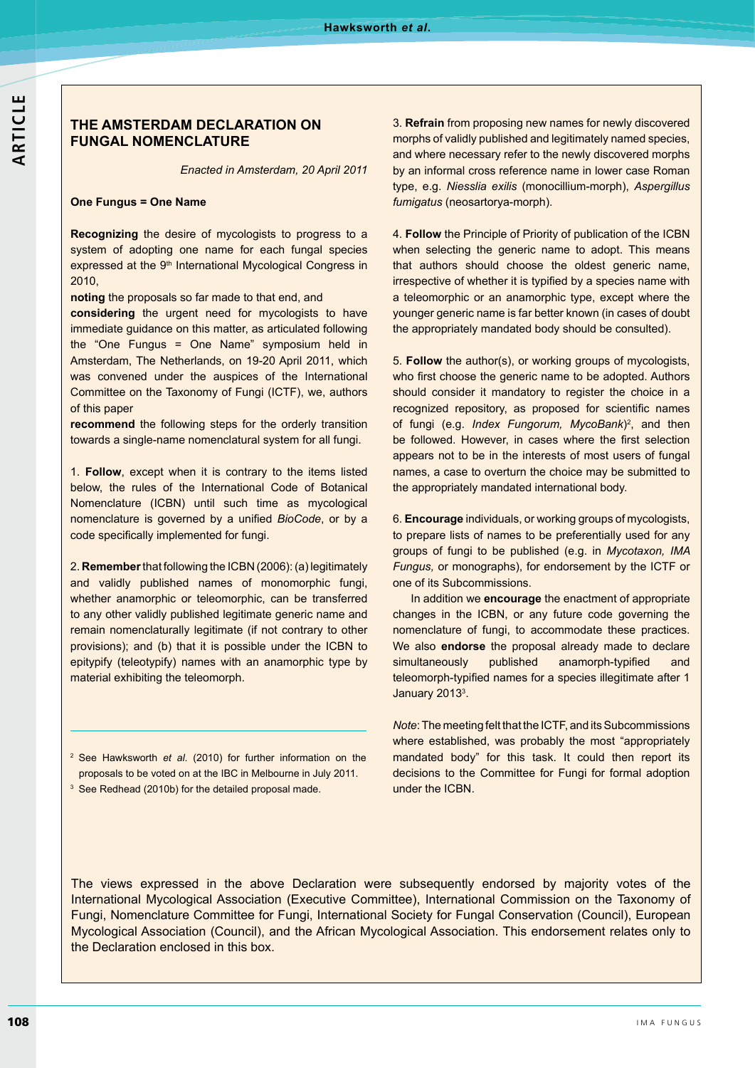## **THE AMSTERDAM DECLARATION ON FUNGAL NOMENCLATURE**

*Enacted in Amsterdam, 20 April 2011*

#### **One Fungus = One Name**

**Recognizing** the desire of mycologists to progress to a system of adopting one name for each fungal species expressed at the 9<sup>th</sup> International Mycological Congress in 2010.

**noting** the proposals so far made to that end, and

**considering** the urgent need for mycologists to have immediate guidance on this matter, as articulated following the "One Fungus = One Name" symposium held in Amsterdam, The Netherlands, on 19-20 April 2011, which was convened under the auspices of the International Committee on the Taxonomy of Fungi (ICTF), we, authors of this paper

**recommend** the following steps for the orderly transition towards a single-name nomenclatural system for all fungi.

 **Follow**, except when it is contrary to the items listed below, the rules of the International Code of Botanical Nomenclature (ICBN) until such time as mycological nomenclature is governed by a unified BioCode, or by a code specifically implemented for fungi.

2. **Remember** that following the ICBN (2006): (a) legitimately and validly published names of monomorphic fungi, whether anamorphic or teleomorphic, can be transferred to any other validly published legitimate generic name and remain nomenclaturally legitimate (if not contrary to other provisions); and (b) that it is possible under the ICBN to epitypify (teleotypify) names with an anamorphic type by material exhibiting the teleomorph.

- <sup>2</sup> See Hawksworth *et al.* (2010) for further information on the proposals to be voted on at the IBC in Melbourne in July 2011.
- <sup>3</sup> See Redhead (2010b) for the detailed proposal made.

**Refrain** from proposing new names for newly discovered morphs of validly published and legitimately named species, and where necessary refer to the newly discovered morphs by an informal cross reference name in lower case Roman type, e.g. Niesslia exilis (monocillium-morph), Aspergillus *fumigatus* (neosartorya-morph).

4. Follow the Principle of Priority of publication of the ICBN when selecting the generic name to adopt. This means that authors should choose the oldest generic name, irrespective of whether it is typified by a species name with a teleomorphic or an anamorphic type, except where the younger generic name is far better known (in cases of doubt the appropriately mandated body should be consulted).

5. Follow the author(s), or working groups of mycologists, who first choose the generic name to be adopted. Authors should consider it mandatory to register the choice in a recognized repository, as proposed for scientific names of fungi (e.g. *Index Fungorum, MycoBank*)<sup>2</sup>, and then be followed. However, in cases where the first selection appears not to be in the interests of most users of fungal names, a case to overturn the choice may be submitted to the appropriately mandated international body.

**Encourage** individuals, or working groups of mycologists, to prepare lists of names to be preferentially used for any groups of fungi to be published (e.g. in Mycotaxon, IMA *Fungus, or monographs), for endorsement by the ICTF or* one of its Subcommissions.

In addition we **encourage** the enactment of appropriate changes in the ICBN, or any future code governing the nomenclature of fungi, to accommodate these practices. We also **endorse** the proposal already made to declare simultaneously published anamorph-typified and teleomorph-typified names for a species illegitimate after 1 January 2013<sup>3</sup>.

*Note*: The meeting felt that the ICTF, and its Subcommissions where established, was probably the most "appropriately mandated body" for this task. It could then report its decisions to the Committee for Fungi for formal adoption under the ICBN.

The views expressed in the above Declaration were subsequently endorsed by majority votes of the International Mycological Association (Executive Committee), International Commission on the Taxonomy of Fungi, Nomenclature Committee for Fungi, International Society for Fungal Conservation (Council), European Mycological Association (Council), and the African Mycological Association. This endorsement relates only to the Declaration enclosed in this box.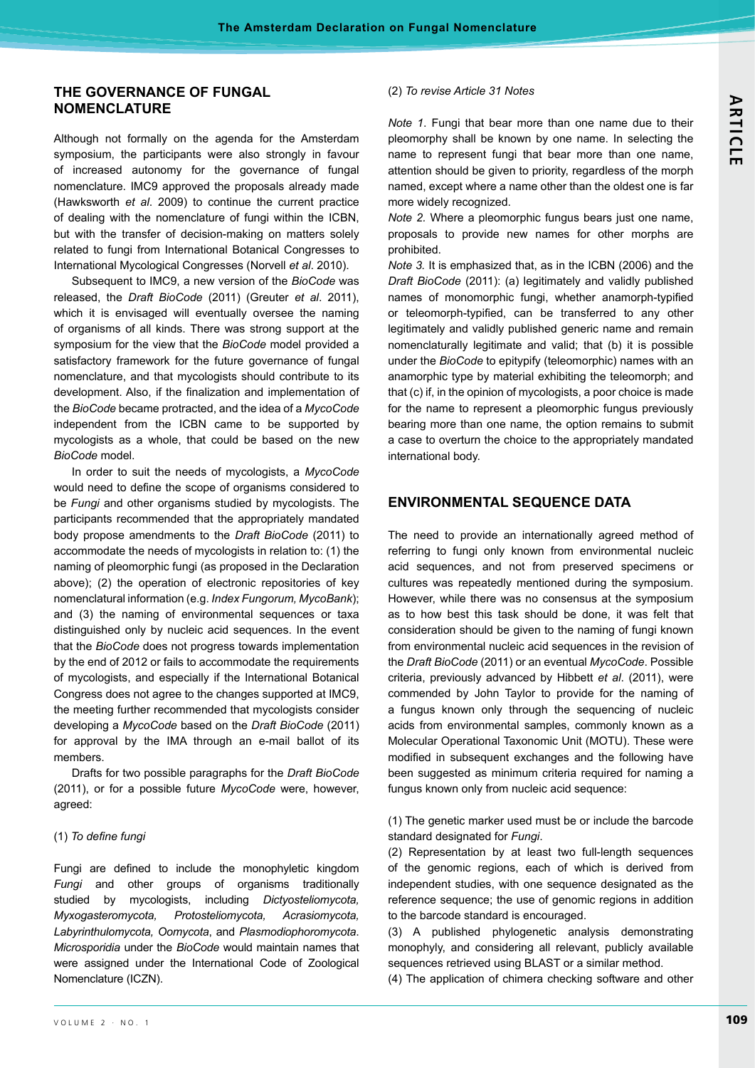## **THE GOVERNANCE OF FUNGAL NOMENCLATURE**

Although not formally on the agenda for the Amsterdam symposium, the participants were also strongly in favour of increased autonomy for the governance of fungal nomenclature. IMC9 approved the proposals already made (Hawksworth et al. 2009) to continue the current practice of dealing with the nomenclature of fungi within the ICBN. but with the transfer of decision-making on matters solely related to fungi from International Botanical Congresses to International Mycological Congresses (Norvell et al. 2010).

Subsequent to IMC9, a new version of the BioCode was released, the *Draft BioCode* (2011) (Greuter et al. 2011), which it is envisaged will eventually oversee the naming of organisms of all kinds. There was strong support at the symposium for the view that the *BioCode* model provided a satisfactory framework for the future governance of fungal nomenclature, and that mycologists should contribute to its development. Also, if the finalization and implementation of the *BioCode* became protracted, and the idea of a *MycoCode* independent from the ICBN came to be supported by mycologists as a whole, that could be based on the new **BioCode** model.

In order to suit the needs of mycologists, a *MycoCode* would need to define the scope of organisms considered to be Fungi and other organisms studied by mycologists. The participants recommended that the appropriately mandated body propose amendments to the *Draft BioCode* (2011) to accommodate the needs of mycologists in relation to: (1) the naming of pleomorphic fungi (as proposed in the Declaration above); (2) the operation of electronic repositories of key nomenclatural information (e.g. Index Fungorum, MycoBank); and (3) the naming of environmental sequences or taxa distinguished only by nucleic acid sequences. In the event that the *BioCode* does not progress towards implementation by the end of 2012 or fails to accommodate the requirements of mycologists, and especially if the International Botanical Congress does not agree to the changes supported at IMC9, the meeting further recommended that mycologists consider developing a *MycoCode* based on the *Draft BioCode* for approval by the IMA through an e-mail ballot of its members.

Drafts for two possible paragraphs for the *Draft BioCode* (2011), or for a possible future MycoCode were, however, agreed:

### $(1)$  To define fungi

Fungi are defined to include the monophyletic kingdom *Fungi* and other groups of organisms traditionally studied by mycologists, including *Dictyosteliomycota, Myxogasteromycota, Protosteliomycota, Acrasiomycota, Labyrinthulomycota, Oomycota*, and *Plasmodiophoromycota Microsporidia* under the *BioCode* would maintain names that were assigned under the International Code of Zoological Nomenclature (ICZN).

### *To revise Article 31 Notes*

*Note 1.* Fungi that bear more than one name due to their pleomorphy shall be known by one name. In selecting the name to represent fungi that bear more than one name, attention should be given to priority, regardless of the morph named, except where a name other than the oldest one is far more widely recognized.

*Note 2.* Where a pleomorphic fungus bears just one name, proposals to provide new names for other morphs are prohibited.

*Note 3.* It is emphasized that, as in the ICBN (2006) and the Draft BioCode (2011): (a) legitimately and validly published names of monomorphic fungi, whether anamorph-typified or teleomorph-typified, can be transferred to any other legitimately and validly published generic name and remain nomenclaturally legitimate and valid; that (b) it is possible under the *BioCode* to epitypify (teleomorphic) names with an anamorphic type by material exhibiting the teleomorph; and that (c) if, in the opinion of mycologists, a poor choice is made for the name to represent a pleomorphic fungus previously bearing more than one name, the option remains to submit a case to overturn the choice to the appropriately mandated international body.

## **ENVIRONMENTAL SEQUENCE DATA**

The need to provide an internationally agreed method of referring to fungi only known from environmental nucleic acid sequences, and not from preserved specimens or cultures was repeatedly mentioned during the symposium. However, while there was no consensus at the symposium as to how best this task should be done, it was felt that consideration should be given to the naming of fungi known from environmental nucleic acid sequences in the revision of the *Draft BioCode* (2011) or an eventual *MycoCode*. Possible criteria, previously advanced by Hibbett *et al.* (2011), were commended by John Taylor to provide for the naming of a fungus known only through the sequencing of nucleic acids from environmental samples, commonly known as a Molecular Operational Taxonomic Unit (MOTU). These were modified in subsequent exchanges and the following have been suggested as minimum criteria reguired for naming a fungus known only from nucleic acid sequence:

(1) The genetic marker used must be or include the barcode standard designated for *Fungi*

(2) Representation by at least two full-length sequences of the genomic regions, each of which is derived from independent studies, with one sequence designated as the reference sequence; the use of genomic regions in addition to the barcode standard is encouraged.

(3) A published phylogenetic analysis demonstrating monophyly, and considering all relevant, publicly available sequences retrieved using BLAST or a similar method.

(4) The application of chimera checking software and other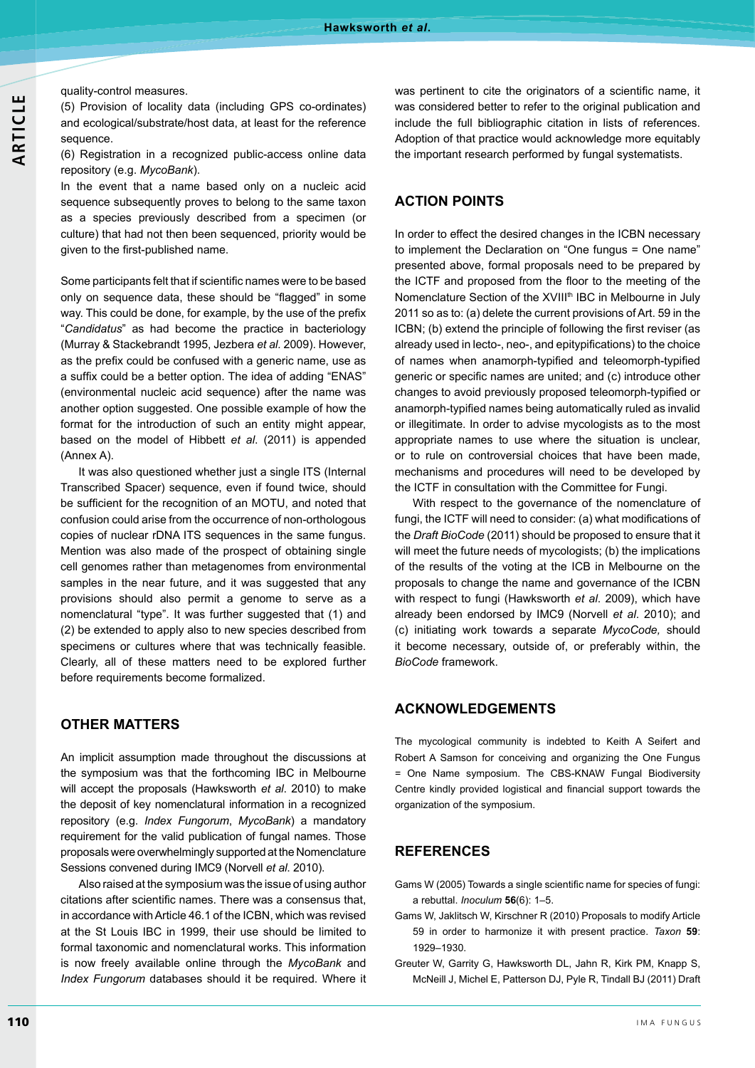#### quality-control measures.

(5) Provision of locality data (including GPS co-ordinates) and ecological/substrate/host data, at least for the reference sequence.

(6) Registration in a recognized public-access online data repository (e.g. MycoBank).

In the event that a name based only on a nucleic acid sequence subsequently proves to belong to the same taxon as a species previously described from a specimen (or culture) that had not then been sequenced, priority would be given to the first-published name.

Some participants felt that if scientific names were to be based only on sequence data, these should be "flagged" in some way. This could be done, for example, by the use of the prefix "Candidatus" as had become the practice in bacteriology (Murray & Stackebrandt 1995, Jezbera et al. 2009). However, as the prefix could be confused with a generic name, use as a suffix could be a better option. The idea of adding "ENAS" (environmental nucleic acid sequence) after the name was another option suggested. One possible example of how the format for the introduction of such an entity might appear, based on the model of Hibbett *et al.* (2011) is appended  $(Annex A)$ 

It was also questioned whether just a single ITS (Internal Transcribed Spacer) sequence, even if found twice, should be sufficient for the recognition of an MOTU, and noted that confusion could arise from the occurrence of non-orthologous copies of nuclear rDNA ITS sequences in the same fungus. Mention was also made of the prospect of obtaining single cell genomes rather than metagenomes from environmental samples in the near future, and it was suggested that any provisions should also permit a genome to serve as a nomenclatural "type". It was further suggested that (1) and  $(2)$  be extended to apply also to new species described from specimens or cultures where that was technically feasible. Clearly, all of these matters need to be explored further before requirements become formalized.

## **OTHER MATTERS**

An implicit assumption made throughout the discussions at the symposium was that the forthcoming IBC in Melbourne will accept the proposals (Hawksworth et al. 2010) to make the deposit of key nomenclatural information in a recognized repository (e.g. *Index Fungorum*, *MycoBank*) a mandatory requirement for the valid publication of fungal names. Those proposals were overwhelmingly supported at the Nomenclature Sessions convened during IMC9 (Norvell et al. 2010).

Also raised at the symposium was the issue of using author citations after scientific names. There was a consensus that, in accordance with Article 46.1 of the ICBN, which was revised at the St Louis IBC in 1999, their use should be limited to formal taxonomic and nomenclatural works. This information is now freely available online through the *MycoBank* and *Index Fungorum* databases should it be required. Where it

was pertinent to cite the originators of a scientific name, it was considered better to refer to the original publication and include the full bibliographic citation in lists of references. Adoption of that practice would acknowledge more equitably the important research performed by fungal systematists.

# **ACTION POINTS**

In order to effect the desired changes in the ICBN necessary to implement the Declaration on "One fungus = One name" presented above, formal proposals need to be prepared by the ICTF and proposed from the floor to the meeting of the Nomenclature Section of the XVIII<sup>th</sup> IBC in Melbourne in July 2011 so as to: (a) delete the current provisions of Art. 59 in the ICBN; (b) extend the principle of following the first reviser (as already used in lecto-, neo-, and epitypifications) to the choice of names when anamorph-typified and teleomorph-typified generic or specific names are united; and (c) introduce other changes to avoid previously proposed teleomorph-typified or anamorph-typified names being automatically ruled as invalid or illegitimate. In order to advise mycologists as to the most appropriate names to use where the situation is unclear, or to rule on controversial choices that have been made, mechanisms and procedures will need to be developed by the ICTF in consultation with the Committee for Fungi.

With respect to the governance of the nomenclature of fungi, the ICTF will need to consider: (a) what modifications of the *Draft BioCode* (2011) should be proposed to ensure that it will meet the future needs of mycologists; (b) the implications of the results of the voting at the ICB in Melbourne on the proposals to change the name and governance of the ICBN with respect to fungi (Hawksworth et al. 2009), which have already been endorsed by IMC9 (Norvell et al. 2010); and (c) initiating work towards a separate MycoCode, should it become necessary, outside of, or preferably within, the **BioCode** framework

# **ACKNOWLEDGEMENTS**

The mycological community is indebted to Keith A Seifert and Robert A Samson for conceiving and organizing the One Fungus = One Name symposium. The CBS-KNAW Fungal Biodiversity Centre kindly provided logistical and financial support towards the organization of the symposium.

### **REFERENCES**

- Gams W (2005) Towards a single scientific name for species of fungi: a rebuttal. *Inoculum*  $56(6)$ : 1-5.
- Gams W, Jaklitsch W, Kirschner R (2010) Proposals to modify Article 59 in order to harmonize it with present practice. Taxon 59: 1929-1930
- Greuter W, Garrity G, Hawksworth DL, Jahn R, Kirk PM, Knapp S, McNeill J, Michel E, Patterson DJ, Pyle R, Tindall BJ (2011) Draft